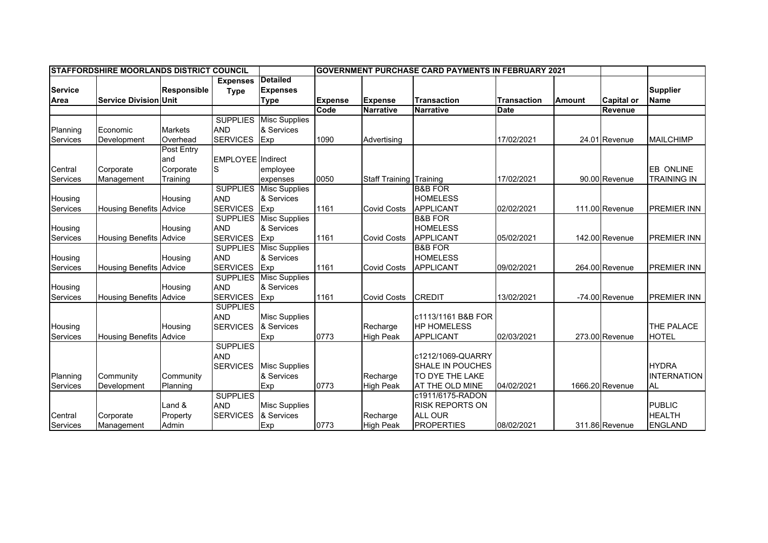| <b>ISTAFFORDSHIRE MOORLANDS DISTRICT COUNCIL</b> |                                |                    |                                |                                                   | IGOVERNMENT PURCHASE CARD PAYMENTS IN FEBRUARY 2021 |                                |                         |                    |               |                   |                                |
|--------------------------------------------------|--------------------------------|--------------------|--------------------------------|---------------------------------------------------|-----------------------------------------------------|--------------------------------|-------------------------|--------------------|---------------|-------------------|--------------------------------|
| <b>Service</b><br>Area                           | <b>Service Division Unit</b>   | <b>Responsible</b> | <b>Expenses</b><br><b>Type</b> | <b>Detailed</b><br><b>Expenses</b><br><b>Type</b> | <b>Expense</b>                                      | <b>Expense</b>                 | <b>Transaction</b>      | <b>Transaction</b> | <b>Amount</b> | <b>Capital or</b> | <b>Supplier</b><br><b>Name</b> |
|                                                  |                                |                    |                                |                                                   | Code                                                | <b>Narrative</b>               | <b>Narrative</b>        | Date               |               | Revenue           |                                |
|                                                  |                                |                    | <b>SUPPLIES</b>                | <b>Misc Supplies</b>                              |                                                     |                                |                         |                    |               |                   |                                |
| Planning                                         | Economic                       | <b>Markets</b>     | <b>AND</b>                     | & Services                                        |                                                     |                                |                         |                    |               |                   |                                |
| Services                                         | Development                    | Overhead           | <b>SERVICES</b>                | Exp                                               | 1090                                                | Advertising                    |                         | 17/02/2021         |               | 24.01 Revenue     | <b>MAILCHIMP</b>               |
|                                                  |                                | Post Entry         |                                |                                                   |                                                     |                                |                         |                    |               |                   |                                |
|                                                  |                                | and                | <b>EMPLOYEE</b> Indirect       |                                                   |                                                     |                                |                         |                    |               |                   |                                |
| Central                                          | Corporate                      | Corporate          | S                              | employee                                          |                                                     |                                |                         |                    |               |                   | <b>EB ONLINE</b>               |
| Services                                         | Management                     | Training           |                                | expenses                                          | 0050                                                | <b>Staff Training Training</b> |                         | 17/02/2021         |               | 90.00 Revenue     | <b>TRAINING IN</b>             |
|                                                  |                                |                    | <b>SUPPLIES</b>                | <b>Misc Supplies</b>                              |                                                     |                                | <b>B&amp;B FOR</b>      |                    |               |                   |                                |
| Housing                                          |                                | Housing            | <b>AND</b>                     | & Services                                        |                                                     |                                | <b>HOMELESS</b>         |                    |               |                   |                                |
| Services                                         | <b>Housing Benefits Advice</b> |                    | <b>SERVICES</b>                | Exp                                               | 1161                                                | <b>Covid Costs</b>             | <b>APPLICANT</b>        | 02/02/2021         |               | 111.00 Revenue    | <b>PREMIER INN</b>             |
|                                                  |                                |                    | <b>SUPPLIES</b>                | <b>Misc Supplies</b>                              |                                                     |                                | <b>B&amp;B FOR</b>      |                    |               |                   |                                |
| Housing                                          |                                | Housing            | <b>AND</b>                     | & Services                                        |                                                     |                                | <b>HOMELESS</b>         |                    |               |                   |                                |
| Services                                         | <b>Housing Benefits Advice</b> |                    | <b>SERVICES</b>                | Exp                                               | 1161                                                | <b>Covid Costs</b>             | <b>APPLICANT</b>        | 05/02/2021         |               | 142.00 Revenue    | <b>PREMIER INN</b>             |
|                                                  |                                |                    | <b>SUPPLIES</b>                | <b>Misc Supplies</b>                              |                                                     |                                | <b>B&amp;B FOR</b>      |                    |               |                   |                                |
| Housing                                          |                                | Housing            | <b>AND</b>                     | & Services                                        |                                                     |                                | <b>HOMELESS</b>         |                    |               |                   |                                |
| Services                                         | <b>Housing Benefits Advice</b> |                    | <b>SERVICES</b>                | Exp                                               | 1161                                                | <b>Covid Costs</b>             | <b>APPLICANT</b>        | 09/02/2021         |               | 264.00 Revenue    | <b>PREMIER INN</b>             |
|                                                  |                                |                    | <b>SUPPLIES</b>                | <b>Misc Supplies</b>                              |                                                     |                                |                         |                    |               |                   |                                |
| Housing                                          |                                | Housing            | <b>AND</b>                     | & Services                                        |                                                     |                                |                         |                    |               |                   |                                |
| Services                                         | <b>Housing Benefits</b>        | Advice             | <b>SERVICES</b>                | Exp                                               | 1161                                                | <b>Covid Costs</b>             | <b>CREDIT</b>           | 13/02/2021         |               | -74.00 Revenue    | <b>PREMIER INN</b>             |
|                                                  |                                |                    | <b>SUPPLIES</b><br><b>AND</b>  |                                                   |                                                     |                                | c1113/1161 B&B FOR      |                    |               |                   |                                |
|                                                  |                                | Housing            | <b>SERVICES</b>                | <b>Misc Supplies</b><br>& Services                |                                                     | Recharge                       | <b>HP HOMELESS</b>      |                    |               |                   | <b>THE PALACE</b>              |
| Housing<br>Services                              | <b>Housing Benefits</b>        | Advice             |                                |                                                   | 0773                                                | <b>High Peak</b>               | <b>APPLICANT</b>        | 02/03/2021         |               | 273.00 Revenue    | <b>HOTEL</b>                   |
|                                                  |                                |                    | <b>SUPPLIES</b>                | Exp                                               |                                                     |                                |                         |                    |               |                   |                                |
|                                                  |                                |                    | <b>AND</b>                     |                                                   |                                                     |                                | c1212/1069-QUARRY       |                    |               |                   |                                |
|                                                  |                                |                    | <b>SERVICES</b>                | <b>Misc Supplies</b>                              |                                                     |                                | <b>SHALE IN POUCHES</b> |                    |               |                   | <b>HYDRA</b>                   |
| Planning                                         | Community                      | Community          |                                | & Services                                        |                                                     | Recharge                       | TO DYE THE LAKE         |                    |               |                   | <b>INTERNATION</b>             |
| Services                                         | Development                    | Planning           |                                | Exp                                               | 0773                                                | <b>High Peak</b>               | <b>AT THE OLD MINE</b>  | 04/02/2021         |               | 1666.20 Revenue   | <b>AL</b>                      |
|                                                  |                                |                    | <b>SUPPLIES</b>                |                                                   |                                                     |                                | c1911/6175-RADON        |                    |               |                   |                                |
|                                                  |                                | Land &             | <b>AND</b>                     | <b>Misc Supplies</b>                              |                                                     |                                | <b>RISK REPORTS ON</b>  |                    |               |                   | <b>PUBLIC</b>                  |
| Central                                          | Corporate                      | Property           | <b>SERVICES</b>                | & Services                                        |                                                     | Recharge                       | <b>ALL OUR</b>          |                    |               |                   | <b>HEALTH</b>                  |
| <b>Services</b>                                  | Management                     | Admin              |                                | Exp                                               | 0773                                                | <b>High Peak</b>               | <b>PROPERTIES</b>       | 08/02/2021         |               | 311.86 Revenue    | <b>ENGLAND</b>                 |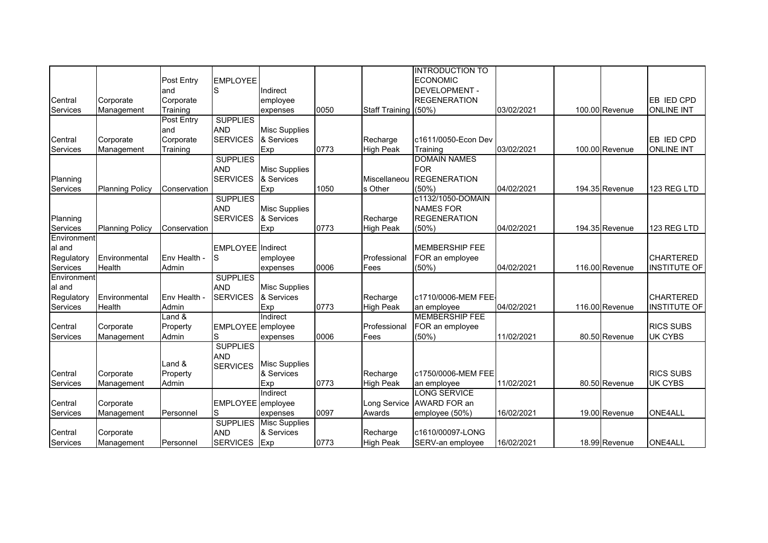|             |                        |              |                   |                      |      |                      | <b>INTRODUCTION TO</b> |            |                |                     |
|-------------|------------------------|--------------|-------------------|----------------------|------|----------------------|------------------------|------------|----------------|---------------------|
|             |                        | Post Entry   | <b>EMPLOYEE</b>   |                      |      |                      | <b>ECONOMIC</b>        |            |                |                     |
|             |                        | and          | S                 | Indirect             |      |                      | DEVELOPMENT -          |            |                |                     |
| Central     | Corporate              | Corporate    |                   | employee             |      |                      | <b>REGENERATION</b>    |            |                | EB IED CPD          |
| Services    | Management             | Training     |                   | expenses             | 0050 | Staff Training (50%) |                        | 03/02/2021 | 100.00 Revenue | <b>ONLINE INT</b>   |
|             |                        | Post Entry   | <b>SUPPLIES</b>   |                      |      |                      |                        |            |                |                     |
|             |                        | land         | <b>AND</b>        | <b>Misc Supplies</b> |      |                      |                        |            |                |                     |
| Central     | Corporate              | Corporate    | <b>SERVICES</b>   | & Services           |      | Recharge             | c1611/0050-Econ Dev    |            |                | EB IED CPD          |
| Services    |                        | Training     |                   | Exp                  | 0773 | <b>High Peak</b>     | Training               | 03/02/2021 | 100.00 Revenue | <b>ONLINE INT</b>   |
|             | Management             |              | <b>SUPPLIES</b>   |                      |      |                      | <b>DOMAIN NAMES</b>    |            |                |                     |
|             |                        |              | <b>AND</b>        | <b>Misc Supplies</b> |      |                      | <b>FOR</b>             |            |                |                     |
|             |                        |              |                   | & Services           |      | Miscellaneou         | <b>REGENERATION</b>    |            |                |                     |
| Planning    |                        |              | <b>SERVICES</b>   |                      | 1050 | s Other              | (50%)                  | 04/02/2021 | 194.35 Revenue | 123 REG LTD         |
| Services    | <b>Planning Policy</b> | Conservation | <b>SUPPLIES</b>   | Exp                  |      |                      | c1132/1050-DOMAIN      |            |                |                     |
|             |                        |              |                   |                      |      |                      |                        |            |                |                     |
|             |                        |              | <b>AND</b>        | <b>Misc Supplies</b> |      |                      | <b>NAMES FOR</b>       |            |                |                     |
| Planning    |                        |              | <b>SERVICES</b>   | & Services           |      | Recharge             | <b>REGENERATION</b>    |            |                |                     |
| Services    | <b>Planning Policy</b> | Conservation |                   | Exp                  | 0773 | <b>High Peak</b>     | (50%)                  | 04/02/2021 | 194.35 Revenue | 123 REG LTD         |
| Environment |                        |              |                   |                      |      |                      |                        |            |                |                     |
| al and      |                        |              | EMPLOYEE Indirect |                      |      |                      | <b>MEMBERSHIP FEE</b>  |            |                |                     |
| Regulatory  | Environmental          | Env Health - | S                 | employee             |      | Professional         | FOR an employee        |            |                | <b>CHARTERED</b>    |
| Services    | Health                 | Admin        |                   | expenses             | 0006 | Fees                 | (50%)                  | 04/02/2021 | 116.00 Revenue | INSTITUTE OF        |
| Environment |                        |              | <b>SUPPLIES</b>   |                      |      |                      |                        |            |                |                     |
| al and      |                        |              | <b>AND</b>        | <b>Misc Supplies</b> |      |                      |                        |            |                |                     |
| Regulatory  | Environmental          | Env Health - | <b>SERVICES</b>   | & Services           |      | Recharge             | c1710/0006-MEM FEE     |            |                | <b>CHARTERED</b>    |
| Services    | Health                 | Admin        |                   | Exp                  | 0773 | <b>High Peak</b>     | an employee            | 04/02/2021 | 116.00 Revenue | <b>INSTITUTE OF</b> |
|             |                        | $L$ and $\&$ |                   | Indirect             |      |                      | <b>MEMBERSHIP FEE</b>  |            |                |                     |
| Central     | Corporate              | Property     | EMPLOYEE employee |                      |      | Professional         | FOR an employee        |            |                | <b>RICS SUBS</b>    |
| Services    | Management             | Admin        | S                 | expenses             | 0006 | Fees                 | (50%)                  | 11/02/2021 | 80.50 Revenue  | <b>UK CYBS</b>      |
|             |                        |              | <b>SUPPLIES</b>   |                      |      |                      |                        |            |                |                     |
|             |                        |              | <b>AND</b>        |                      |      |                      |                        |            |                |                     |
|             |                        | Land &       | <b>SERVICES</b>   | <b>Misc Supplies</b> |      |                      |                        |            |                |                     |
| Central     | Corporate              | Property     |                   | & Services           |      | Recharge             | c1750/0006-MEM FEE     |            |                | <b>RICS SUBS</b>    |
| Services    | Management             | Admin        |                   | Exp                  | 0773 | <b>High Peak</b>     | an employee            | 11/02/2021 | 80.50 Revenue  | UK CYBS             |
|             |                        |              |                   | Indirect             |      |                      | <b>LONG SERVICE</b>    |            |                |                     |
| Central     | Corporate              |              | EMPLOYEE employee |                      |      | Long Service         | AWARD FOR an           |            |                |                     |
| Services    | Management             | Personnel    | S                 | expenses             | 0097 | Awards               | employee (50%)         | 16/02/2021 | 19.00 Revenue  | <b>ONE4ALL</b>      |
|             |                        |              | <b>SUPPLIES</b>   | <b>Misc Supplies</b> |      |                      |                        |            |                |                     |
| Central     | Corporate              |              | <b>AND</b>        | & Services           |      | Recharge             | c1610/00097-LONG       |            |                |                     |
| Services    | Management             | Personnel    | <b>SERVICES</b>   | Exp                  | 0773 | <b>High Peak</b>     | SERV-an employee       | 16/02/2021 | 18.99 Revenue  | <b>ONE4ALL</b>      |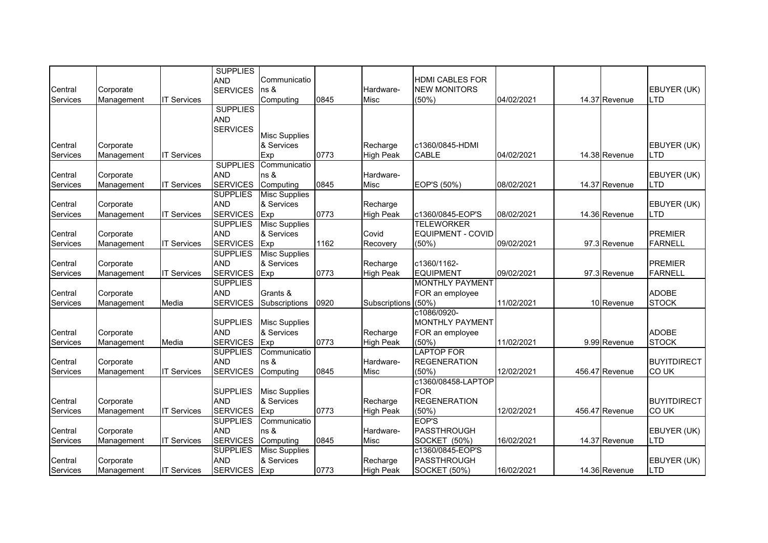|                 |            |                    | <b>SUPPLIES</b> |                      |      |                  |                        |            |                |                    |
|-----------------|------------|--------------------|-----------------|----------------------|------|------------------|------------------------|------------|----------------|--------------------|
|                 |            |                    | <b>AND</b>      | Communicatio         |      |                  | <b>HDMI CABLES FOR</b> |            |                |                    |
| Central         | Corporate  |                    | <b>SERVICES</b> | ns &                 |      | Hardware-        | <b>NEW MONITORS</b>    |            |                | EBUYER (UK)        |
| Services        | Management | <b>IT Services</b> |                 | Computing            | 0845 | Misc             | (50%                   | 04/02/2021 | 14.37 Revenue  | LTD                |
|                 |            |                    | <b>SUPPLIES</b> |                      |      |                  |                        |            |                |                    |
|                 |            |                    | <b>AND</b>      |                      |      |                  |                        |            |                |                    |
|                 |            |                    | <b>SERVICES</b> |                      |      |                  |                        |            |                |                    |
|                 |            |                    |                 | <b>Misc Supplies</b> |      |                  |                        |            |                |                    |
| Central         | Corporate  |                    |                 | & Services           |      | Recharge         | c1360/0845-HDMI        |            |                | EBUYER (UK)        |
| Services        | Management | <b>IT Services</b> |                 | Exp                  | 0773 | <b>High Peak</b> | <b>CABLE</b>           | 04/02/2021 | 14.38 Revenue  | <b>LTD</b>         |
|                 |            |                    | <b>SUPPLIES</b> | Communicatio         |      |                  |                        |            |                |                    |
| Central         | Corporate  |                    | <b>AND</b>      | ns &                 |      | Hardware-        |                        |            |                | EBUYER (UK)        |
| <b>Services</b> | Management | <b>IT Services</b> | <b>SERVICES</b> | Computing            | 0845 | Misc             | EOP'S (50%)            | 08/02/2021 | 14.37 Revenue  | <b>LTD</b>         |
|                 |            |                    | <b>SUPPLIES</b> | <b>Misc Supplies</b> |      |                  |                        |            |                |                    |
| Central         | Corporate  |                    | <b>AND</b>      | & Services           |      | Recharge         |                        |            |                | EBUYER (UK)        |
| Services        | Management | <b>IT Services</b> | <b>SERVICES</b> | Exp                  | 0773 | <b>High Peak</b> | c1360/0845-EOP'S       | 08/02/2021 | 14.36 Revenue  | <b>LTD</b>         |
|                 |            |                    | <b>SUPPLIES</b> | <b>Misc Supplies</b> |      |                  | <b>TELEWORKER</b>      |            |                |                    |
| Central         | Corporate  |                    | <b>AND</b>      | & Services           |      | Covid            | EQUIPMENT - COVID      |            |                | <b>PREMIER</b>     |
| Services        | Management | <b>IT Services</b> | <b>SERVICES</b> | Exp                  | 1162 | Recovery         | (50%)                  | 09/02/2021 | 97.3 Revenue   | <b>FARNELL</b>     |
|                 |            |                    | <b>SUPPLIES</b> | <b>Misc Supplies</b> |      |                  |                        |            |                |                    |
| Central         | Corporate  |                    | <b>AND</b>      | & Services           |      | Recharge         | c1360/1162-            |            |                | <b>PREMIER</b>     |
| Services        | Management | <b>IT Services</b> | <b>SERVICES</b> | Exp                  | 0773 | <b>High Peak</b> | <b>EQUIPMENT</b>       | 09/02/2021 | 97.3 Revenue   | <b>FARNELL</b>     |
|                 |            |                    | <b>SUPPLIES</b> |                      |      |                  | <b>MONTHLY PAYMENT</b> |            |                |                    |
| Central         | Corporate  |                    | <b>AND</b>      | Grants &             |      |                  | FOR an employee        |            |                | <b>ADOBE</b>       |
| Services        | Management | Media              | <b>SERVICES</b> | Subscriptions        | 0920 | Subscriptions    | (50%                   | 11/02/2021 | 10 Revenue     | <b>STOCK</b>       |
|                 |            |                    |                 |                      |      |                  | c1086/0920-            |            |                |                    |
|                 |            |                    | <b>SUPPLIES</b> | <b>Misc Supplies</b> |      |                  | MONTHLY PAYMENT        |            |                |                    |
| Central         | Corporate  |                    | <b>AND</b>      | & Services           |      | Recharge         | FOR an employee        |            |                | <b>ADOBE</b>       |
| Services        | Management | Media              | <b>SERVICES</b> | Exp                  | 0773 | <b>High Peak</b> | (50%)                  | 11/02/2021 | 9.99 Revenue   | <b>STOCK</b>       |
|                 |            |                    | <b>SUPPLIES</b> | Communicatio         |      |                  | <b>LAPTOP FOR</b>      |            |                |                    |
| Central         | Corporate  |                    | <b>AND</b>      | ns &                 |      | Hardware-        | <b>REGENERATION</b>    |            |                | <b>BUYITDIRECT</b> |
| Services        | Management | <b>IT Services</b> | <b>SERVICES</b> | Computing            | 0845 | Misc             | (50%)                  | 12/02/2021 | 456.47 Revenue | <b>COUK</b>        |
|                 |            |                    |                 |                      |      |                  | c1360/08458-LAPTOP     |            |                |                    |
|                 |            |                    | <b>SUPPLIES</b> | <b>Misc Supplies</b> |      |                  | <b>FOR</b>             |            |                |                    |
| Central         | Corporate  |                    | <b>AND</b>      | & Services           |      | Recharge         | <b>REGENERATION</b>    |            |                | <b>BUYITDIRECT</b> |
| Services        | Management | <b>IT Services</b> | <b>SERVICES</b> | Exp                  | 0773 | <b>High Peak</b> | (50%                   | 12/02/2021 | 456.47 Revenue | <b>COUK</b>        |
|                 |            |                    | <b>SUPPLIES</b> | Communicatio         |      |                  | EOP'S                  |            |                |                    |
| Central         | Corporate  |                    | <b>AND</b>      | ns &                 |      | Hardware-        | PASSTHROUGH            |            |                | EBUYER (UK)        |
| Services        | Management | <b>IT Services</b> | <b>SERVICES</b> | Computing            | 0845 | Misc             | <b>SOCKET (50%)</b>    | 16/02/2021 | 14.37 Revenue  | LTD                |
|                 |            |                    | <b>SUPPLIES</b> | <b>Misc Supplies</b> |      |                  | c1360/0845-EOP'S       |            |                |                    |
| Central         | Corporate  |                    | <b>AND</b>      | & Services           |      | Recharge         | PASSTHROUGH            |            |                | EBUYER (UK)        |
| Services        | Management | <b>IT Services</b> | <b>SERVICES</b> | Exp                  | 0773 | <b>High Peak</b> | <b>SOCKET (50%)</b>    | 16/02/2021 | 14.36 Revenue  | <b>LTD</b>         |